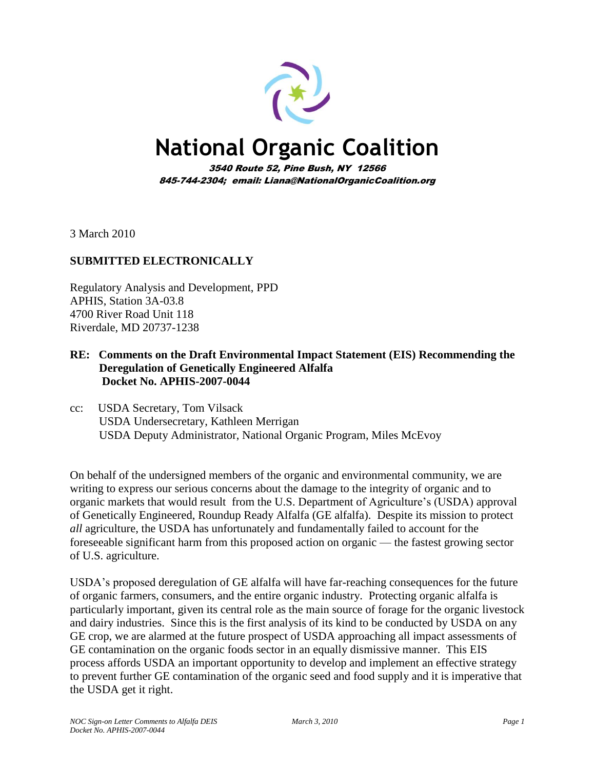

# **National Organic Coalition**

3540 Route 52, Pine Bush, NY 12566 845-744-2304; email: Liana@NationalOrganicCoalition.org

3 March 2010

## **SUBMITTED ELECTRONICALLY**

Regulatory Analysis and Development, PPD APHIS, Station 3A-03.8 4700 River Road Unit 118 Riverdale, MD 20737-1238

#### **RE: Comments on the Draft Environmental Impact Statement (EIS) Recommending the Deregulation of Genetically Engineered Alfalfa Docket No. APHIS-2007-0044**

cc: USDA Secretary, Tom Vilsack USDA Undersecretary, Kathleen Merrigan USDA Deputy Administrator, National Organic Program, Miles McEvoy

On behalf of the undersigned members of the organic and environmental community, we are writing to express our serious concerns about the damage to the integrity of organic and to organic markets that would result from the U.S. Department of Agriculture's (USDA) approval of Genetically Engineered, Roundup Ready Alfalfa (GE alfalfa). Despite its mission to protect *all* agriculture, the USDA has unfortunately and fundamentally failed to account for the foreseeable significant harm from this proposed action on organic — the fastest growing sector of U.S. agriculture.

USDA's proposed deregulation of GE alfalfa will have far-reaching consequences for the future of organic farmers, consumers, and the entire organic industry. Protecting organic alfalfa is particularly important, given its central role as the main source of forage for the organic livestock and dairy industries. Since this is the first analysis of its kind to be conducted by USDA on any GE crop, we are alarmed at the future prospect of USDA approaching all impact assessments of GE contamination on the organic foods sector in an equally dismissive manner. This EIS process affords USDA an important opportunity to develop and implement an effective strategy to prevent further GE contamination of the organic seed and food supply and it is imperative that the USDA get it right.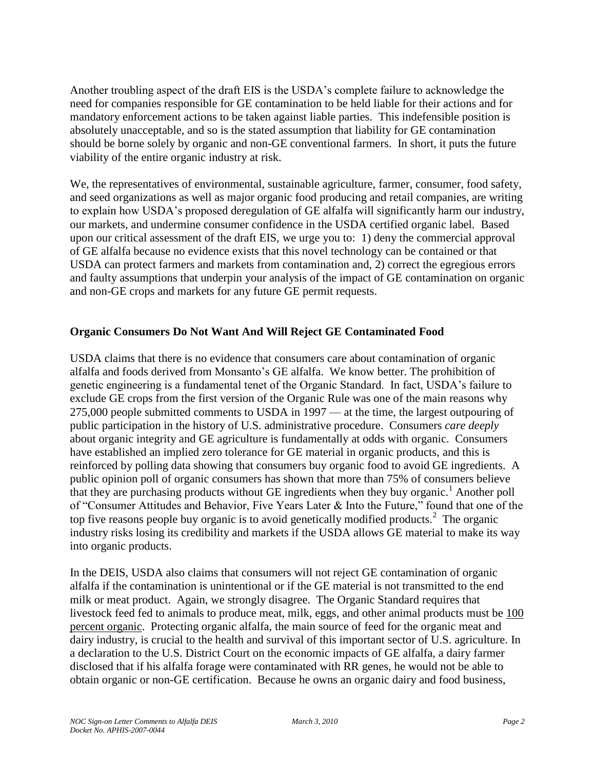Another troubling aspect of the draft EIS is the USDA's complete failure to acknowledge the need for companies responsible for GE contamination to be held liable for their actions and for mandatory enforcement actions to be taken against liable parties. This indefensible position is absolutely unacceptable, and so is the stated assumption that liability for GE contamination should be borne solely by organic and non-GE conventional farmers. In short, it puts the future viability of the entire organic industry at risk.

We, the representatives of environmental, sustainable agriculture, farmer, consumer, food safety, and seed organizations as well as major organic food producing and retail companies, are writing to explain how USDA's proposed deregulation of GE alfalfa will significantly harm our industry, our markets, and undermine consumer confidence in the USDA certified organic label. Based upon our critical assessment of the draft EIS, we urge you to: 1) deny the commercial approval of GE alfalfa because no evidence exists that this novel technology can be contained or that USDA can protect farmers and markets from contamination and, 2) correct the egregious errors and faulty assumptions that underpin your analysis of the impact of GE contamination on organic and non-GE crops and markets for any future GE permit requests.

#### **Organic Consumers Do Not Want And Will Reject GE Contaminated Food**

USDA claims that there is no evidence that consumers care about contamination of organic alfalfa and foods derived from Monsanto's GE alfalfa. We know better. The prohibition of genetic engineering is a fundamental tenet of the Organic Standard. In fact, USDA's failure to exclude GE crops from the first version of the Organic Rule was one of the main reasons why 275,000 people submitted comments to USDA in 1997 — at the time, the largest outpouring of public participation in the history of U.S. administrative procedure. Consumers *care deeply* about organic integrity and GE agriculture is fundamentally at odds with organic. Consumers have established an implied zero tolerance for GE material in organic products, and this is reinforced by polling data showing that consumers buy organic food to avoid GE ingredients. A public opinion poll of organic consumers has shown that more than 75% of consumers believe that they are purchasing products without GE ingredients when they buy organic.<sup>1</sup> Another poll of "Consumer Attitudes and Behavior, Five Years Later & Into the Future," found that one of the top five reasons people buy organic is to avoid genetically modified products.<sup>2</sup> The organic industry risks losing its credibility and markets if the USDA allows GE material to make its way into organic products.

In the DEIS, USDA also claims that consumers will not reject GE contamination of organic alfalfa if the contamination is unintentional or if the GE material is not transmitted to the end milk or meat product. Again, we strongly disagree. The Organic Standard requires that livestock feed fed to animals to produce meat, milk, eggs, and other animal products must be 100 percent organic. Protecting organic alfalfa, the main source of feed for the organic meat and dairy industry, is crucial to the health and survival of this important sector of U.S. agriculture. In a declaration to the U.S. District Court on the economic impacts of GE alfalfa, a dairy farmer disclosed that if his alfalfa forage were contaminated with RR genes, he would not be able to obtain organic or non-GE certification. Because he owns an organic dairy and food business,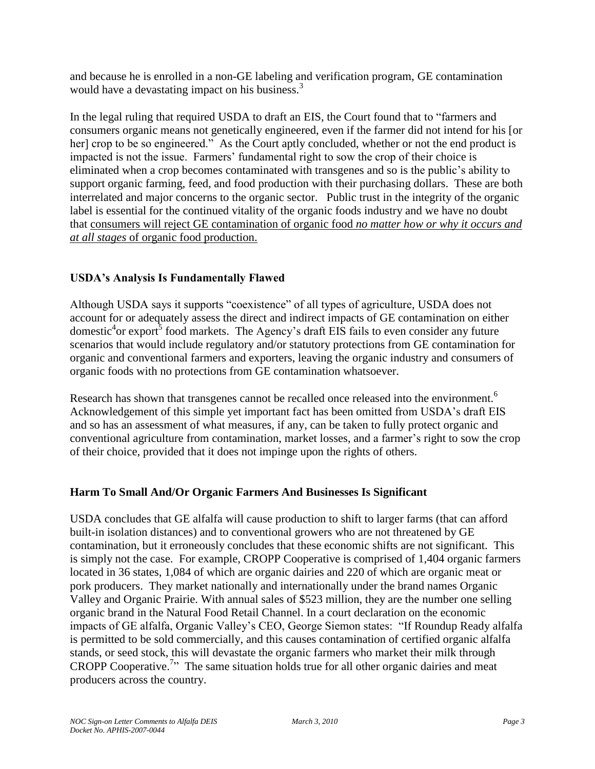and because he is enrolled in a non-GE labeling and verification program, GE contamination would have a devastating impact on his business.<sup>3</sup>

In the legal ruling that required USDA to draft an EIS, the Court found that to "farmers and consumers organic means not genetically engineered, even if the farmer did not intend for his [or her] crop to be so engineered." As the Court aptly concluded, whether or not the end product is impacted is not the issue. Farmers' fundamental right to sow the crop of their choice is eliminated when a crop becomes contaminated with transgenes and so is the public's ability to support organic farming, feed, and food production with their purchasing dollars. These are both interrelated and major concerns to the organic sector. Public trust in the integrity of the organic label is essential for the continued vitality of the organic foods industry and we have no doubt that consumers will reject GE contamination of organic food *no matter how or why it occurs and at all stages* of organic food production.

## **USDA's Analysis Is Fundamentally Flawed**

Although USDA says it supports "coexistence" of all types of agriculture, USDA does not account for or adequately assess the direct and indirect impacts of GE contamination on either domestic<sup>4</sup> or export<sup>5</sup> food markets. The Agency's draft EIS fails to even consider any future scenarios that would include regulatory and/or statutory protections from GE contamination for organic and conventional farmers and exporters, leaving the organic industry and consumers of organic foods with no protections from GE contamination whatsoever.

Research has shown that transgenes cannot be recalled once released into the environment.<sup>6</sup> Acknowledgement of this simple yet important fact has been omitted from USDA's draft EIS and so has an assessment of what measures, if any, can be taken to fully protect organic and conventional agriculture from contamination, market losses, and a farmer's right to sow the crop of their choice, provided that it does not impinge upon the rights of others.

# **Harm To Small And/Or Organic Farmers And Businesses Is Significant**

USDA concludes that GE alfalfa will cause production to shift to larger farms (that can afford built-in isolation distances) and to conventional growers who are not threatened by GE contamination, but it erroneously concludes that these economic shifts are not significant. This is simply not the case. For example, CROPP Cooperative is comprised of 1,404 organic farmers located in 36 states, 1,084 of which are organic dairies and 220 of which are organic meat or pork producers. They market nationally and internationally under the brand names Organic Valley and Organic Prairie. With annual sales of \$523 million, they are the number one selling organic brand in the Natural Food Retail Channel. In a court declaration on the economic impacts of GE alfalfa, Organic Valley's CEO, George Siemon states: "If Roundup Ready alfalfa is permitted to be sold commercially, and this causes contamination of certified organic alfalfa stands, or seed stock, this will devastate the organic farmers who market their milk through CROPP Cooperative.<sup>7</sup><sup>2</sup> The same situation holds true for all other organic dairies and meat producers across the country.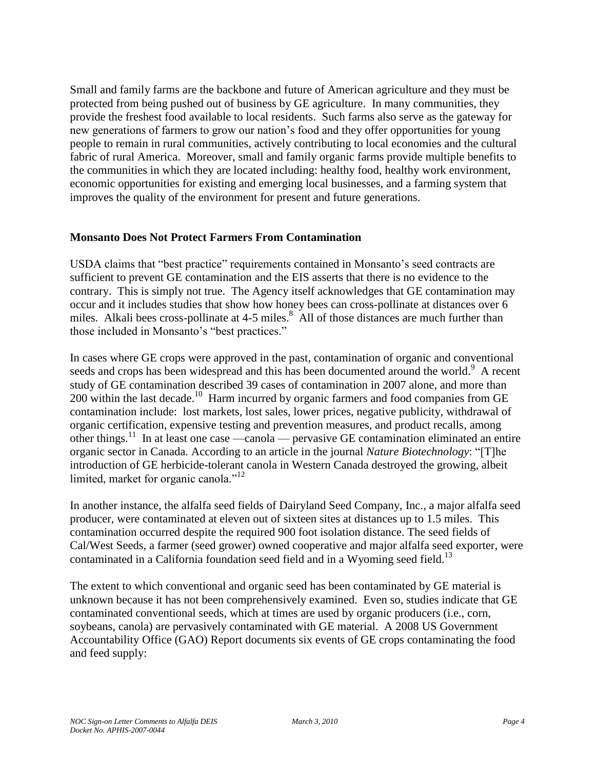Small and family farms are the backbone and future of American agriculture and they must be protected from being pushed out of business by GE agriculture. In many communities, they provide the freshest food available to local residents. Such farms also serve as the gateway for new generations of farmers to grow our nation's food and they offer opportunities for young people to remain in rural communities, actively contributing to local economies and the cultural fabric of rural America. Moreover, small and family organic farms provide multiple benefits to the communities in which they are located including: healthy food, healthy work environment, economic opportunities for existing and emerging local businesses, and a farming system that improves the quality of the environment for present and future generations.

#### **Monsanto Does Not Protect Farmers From Contamination**

USDA claims that "best practice" requirements contained in Monsanto's seed contracts are sufficient to prevent GE contamination and the EIS asserts that there is no evidence to the contrary. This is simply not true. The Agency itself acknowledges that GE contamination may occur and it includes studies that show how honey bees can cross-pollinate at distances over 6 miles. Alkali bees cross-pollinate at  $4-5$  miles.<sup>8</sup> All of those distances are much further than those included in Monsanto's "best practices."

In cases where GE crops were approved in the past, contamination of organic and conventional seeds and crops has been widespread and this has been documented around the world.<sup>9</sup> A recent study of GE contamination described 39 cases of contamination in 2007 alone, and more than 200 within the last decade.<sup>10</sup> Harm incurred by organic farmers and food companies from GE contamination include: lost markets, lost sales, lower prices, negative publicity, withdrawal of organic certification, expensive testing and prevention measures, and product recalls, among other things.<sup>11</sup> In at least one case —canola — pervasive GE contamination eliminated an entire organic sector in Canada. According to an article in the journal *Nature Biotechnology*: "[T]he introduction of GE herbicide-tolerant canola in Western Canada destroyed the growing, albeit limited, market for organic canola." $^{12}$ 

In another instance, the alfalfa seed fields of Dairyland Seed Company, Inc., a major alfalfa seed producer, were contaminated at eleven out of sixteen sites at distances up to 1.5 miles. This contamination occurred despite the required 900 foot isolation distance. The seed fields of Cal/West Seeds, a farmer (seed grower) owned cooperative and major alfalfa seed exporter, were contaminated in a California foundation seed field and in a Wyoming seed field.<sup>13</sup>

The extent to which conventional and organic seed has been contaminated by GE material is unknown because it has not been comprehensively examined. Even so, studies indicate that GE contaminated conventional seeds, which at times are used by organic producers (i.e., corn, soybeans, canola) are pervasively contaminated with GE material. A 2008 US Government Accountability Office (GAO) Report documents six events of GE crops contaminating the food and feed supply: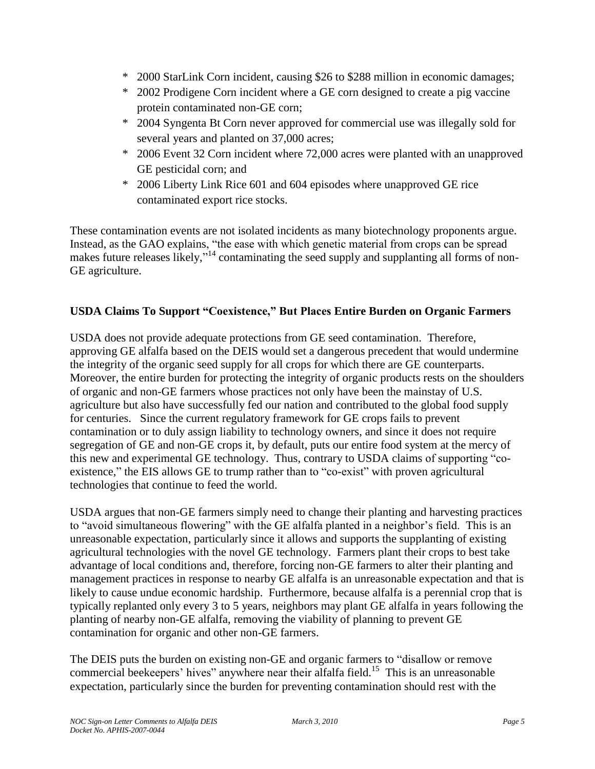- \* 2000 StarLink Corn incident, causing \$26 to \$288 million in economic damages;
- \* 2002 Prodigene Corn incident where a GE corn designed to create a pig vaccine protein contaminated non-GE corn;
- \* 2004 Syngenta Bt Corn never approved for commercial use was illegally sold for several years and planted on 37,000 acres;
- \* 2006 Event 32 Corn incident where 72,000 acres were planted with an unapproved GE pesticidal corn; and
- \* 2006 Liberty Link Rice 601 and 604 episodes where unapproved GE rice contaminated export rice stocks.

These contamination events are not isolated incidents as many biotechnology proponents argue. Instead, as the GAO explains, "the ease with which genetic material from crops can be spread makes future releases likely, $\frac{1}{14}$  contaminating the seed supply and supplanting all forms of non-GE agriculture.

## **USDA Claims To Support "Coexistence," But Places Entire Burden on Organic Farmers**

USDA does not provide adequate protections from GE seed contamination. Therefore, approving GE alfalfa based on the DEIS would set a dangerous precedent that would undermine the integrity of the organic seed supply for all crops for which there are GE counterparts. Moreover, the entire burden for protecting the integrity of organic products rests on the shoulders of organic and non-GE farmers whose practices not only have been the mainstay of U.S. agriculture but also have successfully fed our nation and contributed to the global food supply for centuries. Since the current regulatory framework for GE crops fails to prevent contamination or to duly assign liability to technology owners, and since it does not require segregation of GE and non-GE crops it, by default, puts our entire food system at the mercy of this new and experimental GE technology. Thus, contrary to USDA claims of supporting "coexistence," the EIS allows GE to trump rather than to "co-exist" with proven agricultural technologies that continue to feed the world.

USDA argues that non-GE farmers simply need to change their planting and harvesting practices to "avoid simultaneous flowering" with the GE alfalfa planted in a neighbor's field. This is an unreasonable expectation, particularly since it allows and supports the supplanting of existing agricultural technologies with the novel GE technology. Farmers plant their crops to best take advantage of local conditions and, therefore, forcing non-GE farmers to alter their planting and management practices in response to nearby GE alfalfa is an unreasonable expectation and that is likely to cause undue economic hardship. Furthermore, because alfalfa is a perennial crop that is typically replanted only every 3 to 5 years, neighbors may plant GE alfalfa in years following the planting of nearby non-GE alfalfa, removing the viability of planning to prevent GE contamination for organic and other non-GE farmers.

The DEIS puts the burden on existing non-GE and organic farmers to "disallow or remove" commercial beekeepers' hives" anywhere near their alfalfa field.<sup>15</sup> This is an unreasonable expectation, particularly since the burden for preventing contamination should rest with the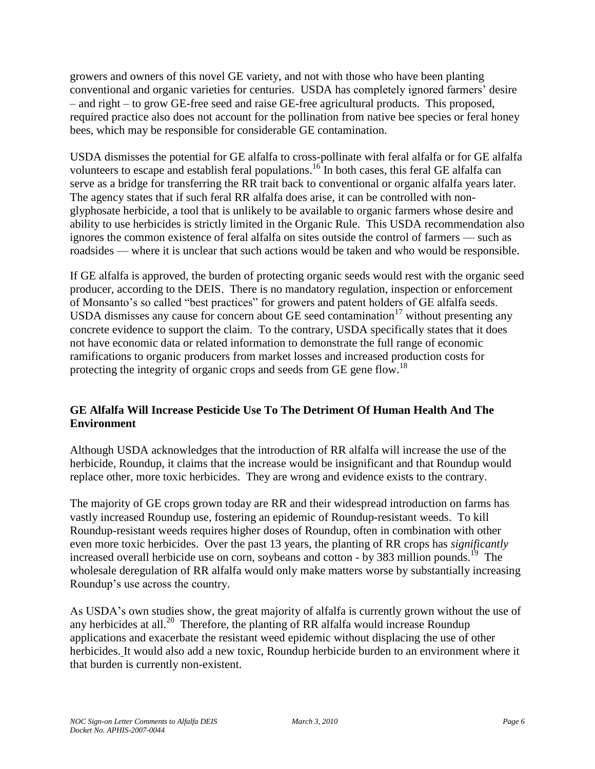growers and owners of this novel GE variety, and not with those who have been planting conventional and organic varieties for centuries. USDA has completely ignored farmers' desire – and right – to grow GE-free seed and raise GE-free agricultural products. This proposed, required practice also does not account for the pollination from native bee species or feral honey bees, which may be responsible for considerable GE contamination.

USDA dismisses the potential for GE alfalfa to cross-pollinate with feral alfalfa or for GE alfalfa volunteers to escape and establish feral populations.<sup>16</sup> In both cases, this feral GE alfalfa can serve as a bridge for transferring the RR trait back to conventional or organic alfalfa years later. The agency states that if such feral RR alfalfa does arise, it can be controlled with nonglyphosate herbicide, a tool that is unlikely to be available to organic farmers whose desire and ability to use herbicides is strictly limited in the Organic Rule. This USDA recommendation also ignores the common existence of feral alfalfa on sites outside the control of farmers — such as roadsides — where it is unclear that such actions would be taken and who would be responsible.

If GE alfalfa is approved, the burden of protecting organic seeds would rest with the organic seed producer, according to the DEIS. There is no mandatory regulation, inspection or enforcement of Monsanto's so called "best practices" for growers and patent holders of GE alfalfa seeds. USDA dismisses any cause for concern about GE seed contamination<sup>17</sup> without presenting any concrete evidence to support the claim. To the contrary, USDA specifically states that it does not have economic data or related information to demonstrate the full range of economic ramifications to organic producers from market losses and increased production costs for protecting the integrity of organic crops and seeds from GE gene flow.<sup>18</sup>

# **GE Alfalfa Will Increase Pesticide Use To The Detriment Of Human Health And The Environment**

Although USDA acknowledges that the introduction of RR alfalfa will increase the use of the herbicide, Roundup, it claims that the increase would be insignificant and that Roundup would replace other, more toxic herbicides. They are wrong and evidence exists to the contrary.

The majority of GE crops grown today are RR and their widespread introduction on farms has vastly increased Roundup use, fostering an epidemic of Roundup-resistant weeds. To kill Roundup-resistant weeds requires higher doses of Roundup, often in combination with other even more toxic herbicides. Over the past 13 years, the planting of RR crops has *significantly* increased overall herbicide use on corn, soybeans and cotton - by 383 million pounds.<sup>19</sup> The wholesale deregulation of RR alfalfa would only make matters worse by substantially increasing Roundup's use across the country.

As USDA's own studies show, the great majority of alfalfa is currently grown without the use of any herbicides at all.<sup>20</sup> Therefore, the planting of RR alfalfa would increase Roundup applications and exacerbate the resistant weed epidemic without displacing the use of other herbicides. It would also add a new toxic, Roundup herbicide burden to an environment where it that burden is currently non-existent.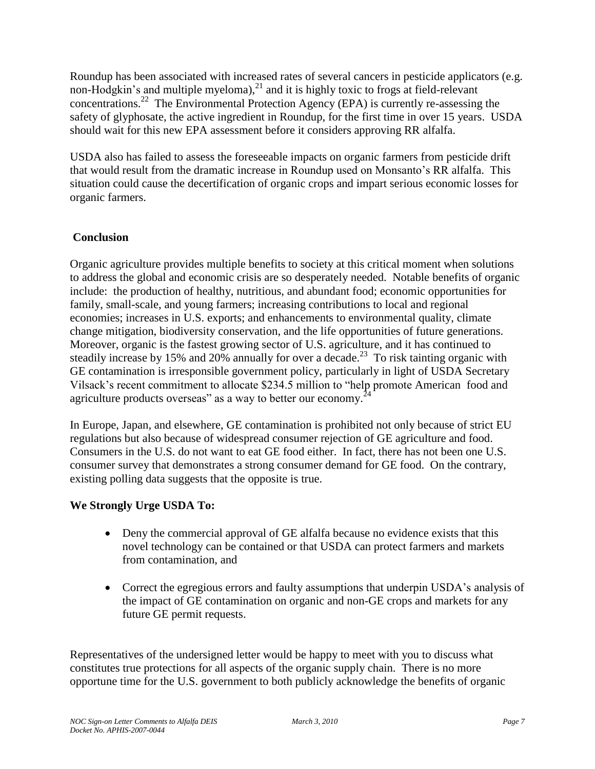Roundup has been associated with increased rates of several cancers in pesticide applicators (e.g. non-Hodgkin's and multiple myeloma), $^{21}$  and it is highly toxic to frogs at field-relevant concentrations.<sup>22</sup> The Environmental Protection Agency (EPA) is currently re-assessing the safety of glyphosate, the active ingredient in Roundup, for the first time in over 15 years. USDA should wait for this new EPA assessment before it considers approving RR alfalfa.

USDA also has failed to assess the foreseeable impacts on organic farmers from pesticide drift that would result from the dramatic increase in Roundup used on Monsanto's RR alfalfa. This situation could cause the decertification of organic crops and impart serious economic losses for organic farmers.

## **Conclusion**

Organic agriculture provides multiple benefits to society at this critical moment when solutions to address the global and economic crisis are so desperately needed. Notable benefits of organic include: the production of healthy, nutritious, and abundant food; economic opportunities for family, small-scale, and young farmers; increasing contributions to local and regional economies; increases in U.S. exports; and enhancements to environmental quality, climate change mitigation, biodiversity conservation, and the life opportunities of future generations. Moreover, organic is the fastest growing sector of U.S. agriculture, and it has continued to steadily increase by 15% and 20% annually for over a decade.<sup>23</sup> To risk tainting organic with GE contamination is irresponsible government policy, particularly in light of USDA Secretary Vilsack's recent commitment to allocate \$234.5 million to "help promote American food and agriculture products overseas" as a way to better our economy.<sup>24</sup>

In Europe, Japan, and elsewhere, GE contamination is prohibited not only because of strict EU regulations but also because of widespread consumer rejection of GE agriculture and food. Consumers in the U.S. do not want to eat GE food either. In fact, there has not been one U.S. consumer survey that demonstrates a strong consumer demand for GE food. On the contrary, existing polling data suggests that the opposite is true.

#### **We Strongly Urge USDA To:**

- Deny the commercial approval of GE alfalfa because no evidence exists that this novel technology can be contained or that USDA can protect farmers and markets from contamination, and
- Correct the egregious errors and faulty assumptions that underpin USDA's analysis of the impact of GE contamination on organic and non-GE crops and markets for any future GE permit requests.

Representatives of the undersigned letter would be happy to meet with you to discuss what constitutes true protections for all aspects of the organic supply chain. There is no more opportune time for the U.S. government to both publicly acknowledge the benefits of organic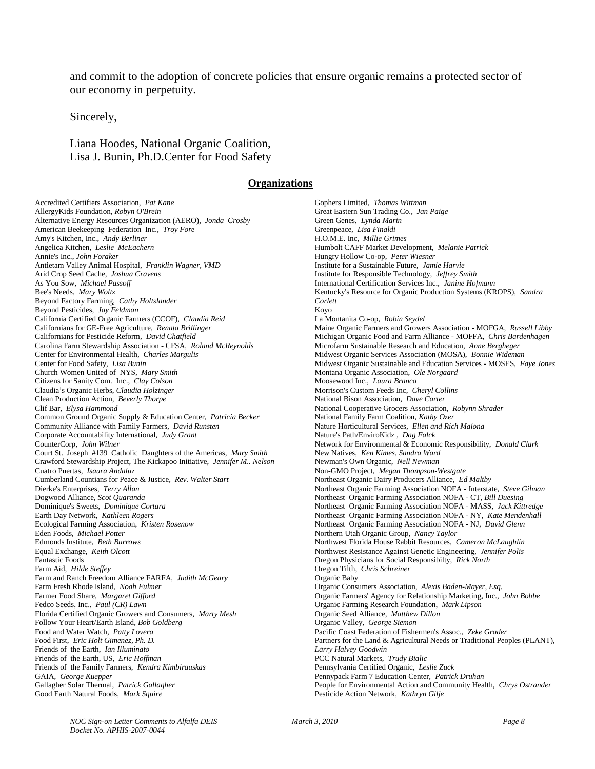and commit to the adoption of concrete policies that ensure organic remains a protected sector of our economy in perpetuity.

Sincerely,

Liana Hoodes, National Organic Coalition, Lisa J. Bunin, Ph.D.Center for Food Safety

#### **Organizations**

Accredited Certifiers Association, *Pat Kane* AllergyKids Foundation, *Robyn O'Brein* Alternative Energy Resources Organization (AERO), *Jonda Crosby* American Beekeeping Federation Inc., *Troy Fore* Amy's Kitchen, Inc., *Andy Berliner* Angelica Kitchen, *Leslie McEachern* Annie's Inc., *John Foraker* Antietam Valley Animal Hospital, *Franklin Wagner, VMD* Arid Crop Seed Cache, *Joshua Cravens* As You Sow, *Michael Passoff* Bee's Needs, *Mary Woltz* Beyond Factory Farming, *Cathy Holtslander* Beyond Pesticides, *Jay Feldman* California Certified Organic Farmers (CCOF), *Claudia Reid* Californians for GE-Free Agriculture, *Renata Brillinger* Californians for Pesticide Reform, *David Chatfield* Carolina Farm Stewardship Association - CFSA, *Roland McReynolds* Center for Environmental Health, *Charles Margulis* Center for Food Safety, *Lisa Bunin* Church Women United of NYS, *Mary Smith* Citizens for Sanity Com. Inc., *Clay Colson* Claudia's Organic Herbs, *Claudia Holzinger* Clean Production Action, *Beverly Thorpe* Clif Bar, *Elysa Hammond* Common Ground Organic Supply & Education Center, *Patricia Becker* Community Alliance with Family Farmers, *David Runsten* Corporate Accountability International, *Judy Grant* CounterCorp, *John Wilner* Court St. Joseph #139 Catholic Daughters of the Americas, *Mary Smith* Crawford Stewardship Project, The Kickapoo Initiative, *Jennifer M.. Nelson* Cuatro Puertas, *Isaura Andaluz* Cumberland Countians for Peace & Justice, *Rev. Walter Start* Dierke's Enterprises, *Terry Allan* Dogwood Alliance, *Scot Quaranda* Dominique's Sweets, *Dominique Cortara* Earth Day Network, *Kathleen Rogers* Ecological Farming Association, *Kristen Rosenow* Eden Foods, *Michael Potter* Edmonds Institute, *Beth Burrows* Equal Exchange, *Keith Olcott* Fantastic Foods Farm Aid, *Hilde Steffey* Farm and Ranch Freedom Alliance FARFA, *Judith McGeary* Farm Fresh Rhode Island, *Noah Fulmer* Farmer Food Share, *Margaret Gifford* Fedco Seeds, Inc., *Paul (CR) Lawn* Florida Certified Organic Growers and Consumers, *Marty Mesh* Follow Your Heart/Earth Island, *Bob Goldberg* Food and Water Watch, *Patty Lovera* Food First, *Eric Holt Gimenez, Ph. D.* Friends of the Earth, *Ian Illuminato* Friends of the Earth, US, *Eric Hoffman* Friends of the Family Farmers, *Kendra Kimbirauskas* GAIA, *George Kuepper* Gallagher Solar Thermal, *Patrick Gallagher* Good Earth Natural Foods, *Mark Squire*

Gophers Limited, *Thomas Wittman* Great Eastern Sun Trading Co., *Jan Paige* Green Genes, *Lynda Marin* Greenpeace, *Lisa Finaldi* H.O.M.E. Inc, *Millie Grimes* Humbolt CAFF Market Development, *Melanie Patrick* Hungry Hollow Co-op, *Peter Wiesner* Institute for a Sustainable Future, *Jamie Harvie* Institute for Responsible Technology, *Jeffrey Smith* International Certification Services Inc., *Janine Hofmann* Kentucky's Resource for Organic Production Systems (KROPS), *Sandra Corlett* Koyo La Montanita Co-op, *Robin Seydel* Maine Organic Farmers and Growers Association - MOFGA, *Russell Libby* Michigan Organic Food and Farm Alliance - MOFFA, *Chris Bardenhagen* Microfarm Sustainable Research and Education, *Anne Bergheger* Midwest Organic Services Association (MOSA), *Bonnie Wideman* Midwest Organic Sustainable and Education Services - MOSES, *Faye Jones* Montana Organic Association, *Ole Norgaard* Moosewood Inc., *Laura Branca* Morrison's Custom Feeds Inc, *Cheryl Collins* National Bison Association, *Dave Carter* National Cooperative Grocers Association, *Robynn Shrader* National Family Farm Coalition, *Kathy Ozer* Nature Horticultural Services, *Ellen and Rich Malona* Nature's Path/EnviroKidz , *Dag Falck* Network for Environmental & Economic Responsibility, *Donald Clark* New Natives, *Ken Kimes, Sandra Ward* Newman's Own Organic, *Nell Newman* Non-GMO Project, *Megan Thompson-Westgate* Northeast Organic Dairy Producers Alliance, *Ed Maltby* Northeast Organic Farming Association NOFA - Interstate, *Steve Gilman* Northeast Organic Farming Association NOFA - CT, *Bill Duesing* Northeast Organic Farming Association NOFA - MASS, *Jack Kittredge* Northeast Organic Farming Association NOFA - NY, *Kate Mendenhall* Northeast Organic Farming Association NOFA - NJ, *David Glenn* Northern Utah Organic Group, *Nancy Taylor* Northwest Florida House Rabbit Resources, *Cameron McLaughlin* Northwest Resistance Against Genetic Engineering, *Jennifer Polis* Oregon Physicians for Social Responsibilty, *Rick North* Oregon Tilth, *Chris Schreiner* Organic Baby Organic Consumers Association, *Alexis Baden-Mayer, Esq.* Organic Farmers' Agency for Relationship Marketing, Inc., *John Bobbe* Organic Farming Research Foundation, *Mark Lipson* Organic Seed Alliance, *Matthew Dillon* Organic Valley, *George Siemon* Pacific Coast Federation of Fishermen's Assoc., *Zeke Grader* Partners for the Land & Agricultural Needs or Traditional Peoples (PLANT), *Larry Halvey Goodwin* PCC Natural Markets, *Trudy Bialic* Pennsylvania Certified Organic, *Leslie Zuck* Pennypack Farm 7 Education Center, *Patrick Druhan* People for Environmental Action and Community Health, *Chrys Ostrander* Pesticide Action Network, *Kathryn Gilje*

*NOC Sign-on Letter Comments to Alfalfa DEIS March 3, 2010 Page 8 Docket No. APHIS-2007-0044*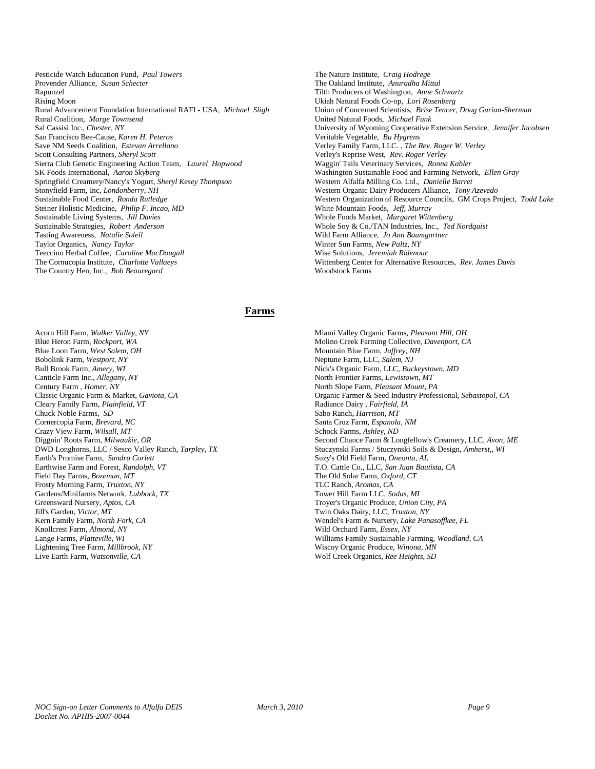Pesticide Watch Education Fund, *Paul Towers* Provender Alliance, *Susan Schecter* Rapunzel Rising Moon Rural Advancement Foundation International RAFI - USA, *Michael Sligh* Rural Coalition, *Marge Townsend* Sal Cassisi Inc., *Chester, NY* San Francisco Bee-Cause, *Karen H. Peteros* Save NM Seeds Coalition, *Estevan Arrellano* Scott Consulting Partners, *Sheryl Scott* Sierra Club Genetic Engineering Action Team, *Laurel Hopwood* SK Foods International, *Aaron Skyberg* Springfield Creamery/Nancy's Yogurt, *Sheryl Kesey Thompson* Stonyfield Farm, Inc, *Londonberry, NH* Sustainable Food Center, *Ronda Rutledge* Steiner Holistic Medicine, *Philip F. Incao, MD* Sustainable Living Systems, *Jill Davies* Sustainable Strategies, *Robert Anderson* Tasting Awareness, *Natalie Soleil* Taylor Organics, *Nancy Taylor* Teeccino Herbal Coffee, *Caroline MacDougall* The Cornucopia Institute, *Charlotte Vallaeys* The Country Hen, Inc., *Bob Beauregard*

The Nature Institute, *Craig Hodrege* The Oakland Institute, *Anuradha Mittal* Tilth Producers of Washington, *Anne Schwartz* Ukiah Natural Foods Co-op, *Lori Rosenberg* Union of Concerned Scientists, *Brise Tencer, Doug Gurian-Sherman* United Natural Foods, *Michael Funk* University of Wyoming Cooperative Extension Service, *Jennifer Jacobsen* Veritable Vegetable, *Bu Hygrens* Verley Family Farm, LLC. , *The Rev. Roger W. Verley* Verley's Reprise West, *Rev. Roger Verley* Waggin' Tails Veterinary Services, *Ronna Kabler* Washington Sustainable Food and Farming Network, *Ellen Gray* Western Alfalfa Milling Co. Ltd., *Danielle Barret* Western Organic Dairy Producers Alliance, *Tony Azevedo* Western Organization of Resource Councils, GM Crops Project, *Todd Lake* White Mountain Foods, *Jeff, Murray* Whole Foods Market, *Margaret Wittenberg* Whole Soy & Co./TAN Industries, Inc., *Ted Nordquist* Wild Farm Alliance, *Jo Ann Baumgartner* Winter Sun Farms, *New Paltz, NY* Wise Solutions, *Jeremiah Ridenour* Wittenberg Center for Alternative Resources, *Rev. James Davis* Woodstock Farms

#### **Farms**

Acorn Hill Farm, *Walker Valley, NY* Blue Heron Farm, *Rockport, WA* Blue Loon Farm, *West Salem, OH* Bobolink Farm, *Westport, NY* Bull Brook Farm, *Amery, WI* Canticle Farm Inc., *Allegany, NY* Century Farm , *Homer, NY* Classic Organic Farm & Market, *Gaviota, CA* Cleary Family Farm, *Plainfield, VT* Chuck Noble Farms, *SD* Cornercopia Farm, *Brevard, NC* Crazy View Farm, *Wilsall, MT* Diggnin' Roots Farm, *Milwaukie, OR* DWD Longhorns, LLC / Sesco Valley Ranch, *Tarpley, TX* Earth's Promise Farm, *Sandra Corlett* Earthwise Farm and Forest, *Randolph, VT* Field Day Farms, *Bozeman, MT* Frosty Morning Farm, *Truxton, NY* Gardens/Minifarms Network, *Lubbock, TX* Greensward Nursery, *Aptos, CA* Jill's Garden, *Victor, MT* Kern Family Farm, *North Fork, CA* Knollcrest Farm, *Almond, NY* Lange Farms, *Platteville, WI* Lightening Tree Farm*, Millbrook, NY* Live Earth Farm, *Watsonville, CA*

Miami Valley Organic Farms, *Pleasant Hill, OH* Molino Creek Farming Collective, *Davenport, CA* Mountain Blue Farm, *Jaffrey, NH* Neptune Farm, LLC, *Salem, NJ* Nick's Organic Farm, LLC, *Buckeystown, MD* North Frontier Farms, *Lewistown, MT* North Slope Farm, *Pleasant Mount, PA* Organic Farmer & Seed Industry Professional, *Sebastopol, CA* Radiance Dairy , *Fairfield, IA* Sabo Ranch, *Harrison, MT* Santa Cruz Farm, *Espanola, NM* Schock Farms, *Ashley, ND* Second Chance Farm & Longfellow's Creamery, LLC, *Avon, ME* Stuczynski Farms / Stuczynski Soils & Design, *Amherst,, WI* Suzy's Old Field Farm, *Oneonta, AL* T.O. Cattle Co., LLC, *San Juan Bautista, CA* The Old Solar Farm, *Oxford, CT* TLC Ranch, *Aromas, CA* Tower Hill Farm LLC, *Sodus, MI* Troyer's Organic Produce, *Union City, PA* Twin Oaks Dairy, LLC, *Truxton, NY* Wendel's Farm & Nursery, *Lake Panasoffkee, FL* Wild Orchard Farm*, Essex, NY* Williams Family Sustainable Farming, *Woodland, CA* Wiscoy Organic Produce, *Winona, MN* Wolf Creek Organics, *Ree Heights, SD*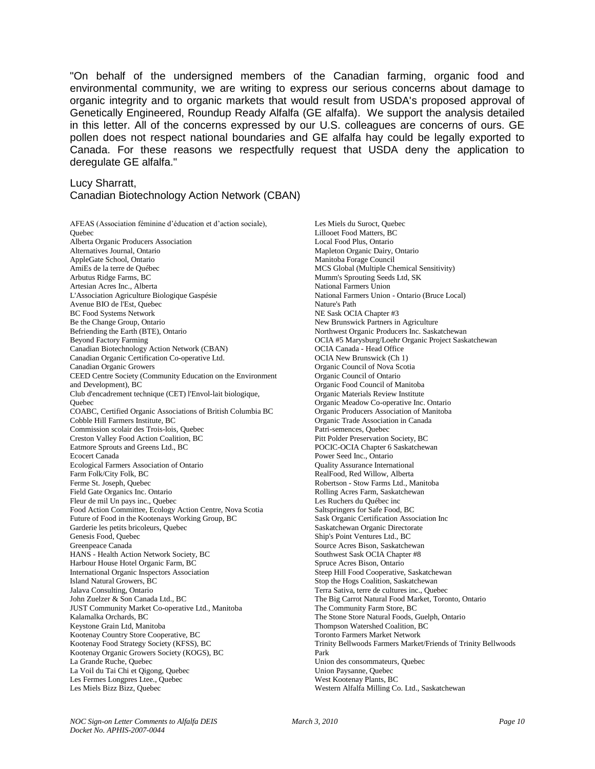"On behalf of the undersigned members of the Canadian farming, organic food and environmental community, we are writing to express our serious concerns about damage to organic integrity and to organic markets that would result from USDA's proposed approval of Genetically Engineered, Roundup Ready Alfalfa (GE alfalfa). We support the analysis detailed in this letter. All of the concerns expressed by our U.S. colleagues are concerns of ours. GE pollen does not respect national boundaries and GE alfalfa hay could be legally exported to Canada. For these reasons we respectfully request that USDA deny the application to deregulate GE alfalfa."

#### Lucy Sharratt,

Canadian Biotechnology Action Network (CBAN)

AFEAS (Association féminine d'éducation et d'action sociale), **Ouebec** Alberta Organic Producers Association Alternatives Journal, Ontario AppleGate School, Ontario AmiEs de la terre de Québec Arbutus Ridge Farms, BC Artesian Acres Inc., Alberta L'Association Agriculture Biologique Gaspésie Avenue BIO de l'Est, Quebec BC Food Systems Network Be the Change Group, Ontario Befriending the Earth (BTE), Ontario Beyond Factory Farming Canadian Biotechnology Action Network (CBAN) Canadian Organic Certification Co-operative Ltd. Canadian Organic Growers CEED Centre Society (Community Education on the Environment and Development), BC Club d'encadrement technique (CET) l'Envol-lait biologique, **Ouebec** COABC, Certified Organic Associations of British Columbia BC Cobble Hill Farmers Institute, BC Commission scolair des Trois-lois, Quebec Creston Valley Food Action Coalition, BC Eatmore Sprouts and Greens Ltd., BC Ecocert Canada Ecological Farmers Association of Ontario Farm Folk/City Folk, BC Ferme St. Joseph, Quebec Field Gate Organics Inc. Ontario Fleur de mil Un pays inc., Quebec Food Action Committee, Ecology Action Centre, Nova Scotia Future of Food in the Kootenays Working Group, BC Garderie les petits bricoleurs, Quebec Genesis Food, Quebec Greenpeace Canada HANS - Health Action Network Society, BC Harbour House Hotel Organic Farm, BC International Organic Inspectors Association Island Natural Growers, BC Jalava Consulting, Ontario John Zuelzer & Son Canada Ltd., BC JUST Community Market Co-operative Ltd., Manitoba Kalamalka Orchards, BC Keystone Grain Ltd, Manitoba Kootenay Country Store Cooperative, BC Kootenay Food Strategy Society (KFSS), BC Kootenay Organic Growers Society (KOGS), BC La Grande Ruche, Quebec La Voil du Tai Chi et Qigong, Quebec Les Fermes Longpres Ltee., Quebec Les Miels Bizz Bizz, Quebec

Les Miels du Suroct, Quebec Lillooet Food Matters, BC Local Food Plus, Ontario Mapleton Organic Dairy, Ontario Manitoba Forage Council MCS Global (Multiple Chemical Sensitivity) Mumm's Sprouting Seeds Ltd, SK National Farmers Union National Farmers Union - Ontario (Bruce Local) Nature's Path NE Sask OCIA Chapter #3 New Brunswick Partners in Agriculture Northwest Organic Producers Inc. Saskatchewan OCIA #5 Marysburg/Loehr Organic Project Saskatchewan OCIA Canada - Head Office OCIA New Brunswick (Ch 1) Organic Council of Nova Scotia Organic Council of Ontario Organic Food Council of Manitoba Organic Materials Review Institute Organic Meadow Co-operative Inc. Ontario Organic Producers Association of Manitoba Organic Trade Association in Canada Patri-semences, Quebec Pitt Polder Preservation Society, BC POCIC-OCIA Chapter 6 Saskatchewan Power Seed Inc., Ontario Quality Assurance International RealFood, Red Willow, Alberta Robertson - Stow Farms Ltd., Manitoba Rolling Acres Farm, Saskatchewan Les Ruchers du Québec inc Saltspringers for Safe Food, BC Sask Organic Certification Association Inc Saskatchewan Organic Directorate Ship's Point Ventures Ltd., BC Source Acres Bison, Saskatchewan Southwest Sask OCIA Chapter #8 Spruce Acres Bison, Ontario Steep Hill Food Cooperative, Saskatchewan Stop the Hogs Coalition, Saskatchewan Terra Sativa, terre de cultures inc., Quebec The Big Carrot Natural Food Market, Toronto, Ontario The Community Farm Store, BC The Stone Store Natural Foods, Guelph, Ontario Thompson Watershed Coalition, BC Toronto Farmers Market Network Trinity Bellwoods Farmers Market/Friends of Trinity Bellwoods Park Union des consommateurs, Quebec Union Paysanne, Quebec West Kootenay Plants, BC Western Alfalfa Milling Co. Ltd., Saskatchewan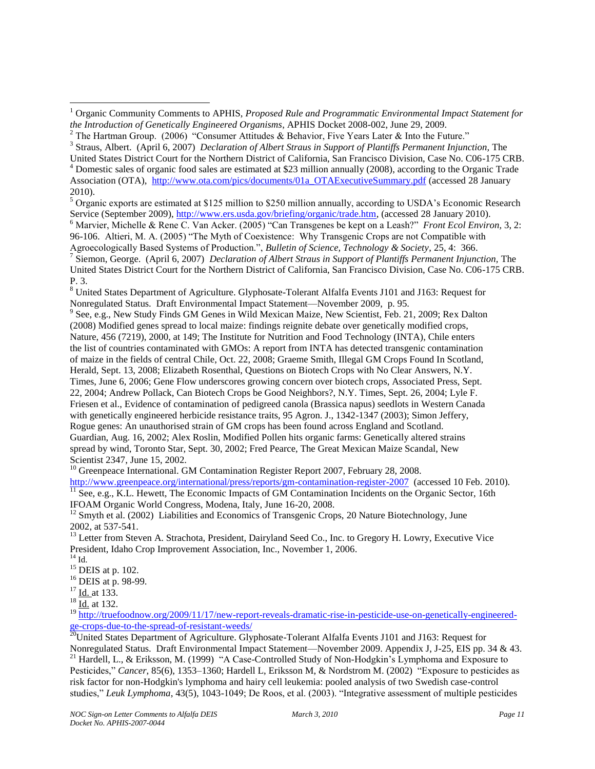2010).

<sup>5</sup> Organic exports are estimated at \$125 million to \$250 million annually, according to USDA's Economic Research Service (September 2009), [http://www.ers.usda.gov/briefing/organic/trade.htm,](http://www.ers.usda.gov/briefing/organic/trade.htm) (accessed 28 January 2010).

<sup>6</sup> Marvier, Michelle & Rene C. Van Acker. (2005) "Can Transgenes be kept on a Leash?" *Front Ecol Environ*, 3, 2: 96-106. Altieri, M. A. (2005) "The Myth of Coexistence: Why Transgenic Crops are not Compatible with

Agroecologically Based Systems of Production.", *Bulletin of Science, Technology & Society*, 25, 4: 366.

<sup>9</sup> See, e.g., New Study Finds GM Genes in Wild Mexican Maize, New Scientist, Feb. 21, 2009; Rex Dalton (2008) Modified genes spread to local maize: findings reignite debate over genetically modified crops, Nature, 456 (7219), 2000, at 149; The Institute for Nutrition and Food Technology (INTA), Chile enters the list of countries contaminated with GMOs: A report from INTA has detected transgenic contamination

of maize in the fields of central Chile, Oct. 22, 2008; Graeme Smith, Illegal GM Crops Found In Scotland,

Herald, Sept. 13, 2008; Elizabeth Rosenthal, Questions on Biotech Crops with No Clear Answers, N.Y.

Times, June 6, 2006; Gene Flow underscores growing concern over biotech crops, Associated Press, Sept. 22, 2004; Andrew Pollack, Can Biotech Crops be Good Neighbors?, N.Y. Times, Sept. 26, 2004; Lyle F.

Friesen et al., Evidence of contamination of pedigreed canola (Brassica napus) seedlots in Western Canada

with genetically engineered herbicide resistance traits, 95 Agron. J., 1342-1347 (2003); Simon Jeffery, Rogue genes: An unauthorised strain of GM crops has been found across England and Scotland. Guardian, Aug. 16, 2002; Alex Roslin, Modified Pollen hits organic farms: Genetically altered strains spread by wind, Toronto Star, Sept. 30, 2002; Fred Pearce, The Great Mexican Maize Scandal, New Scientist 2347, June 15, 2002.

<sup>10</sup> Greenpeace International. GM Contamination Register Report 2007, February 28, 2008.

<http://www.greenpeace.org/international/press/reports/gm-contamination-register-2007>(accessed 10 Feb. 2010). <sup>11</sup> See, e.g., K.L. Hewett, The Economic Impacts of GM Contamination Incidents on the Organic Sector, 16th

IFOAM Organic World Congress, Modena, Italy, June 16-20, 2008.

<sup>12</sup> Smyth et al. (2002) Liabilities and Economics of Transgenic Crops, 20 Nature Biotechnology, June 2002, at 537-541.

<sup>13</sup> Letter from Steven A. Strachota, President, Dairyland Seed Co., Inc. to Gregory H. Lowry, Executive Vice President, Idaho Crop Improvement Association, Inc., November 1, 2006.

 $^{14}$  Id.

<sup>15</sup> DEIS at p. 102.

<sup>16</sup> DEIS at p. 98-99.

<sup>17</sup> Id. at 133.

 $18 \overline{\underline{Id}}$ . at 132.

<sup>19</sup> [http://truefoodnow.org/2009/11/17/new-report-reveals-dramatic-rise-in-pesticide-use-on-genetically-engineered](http://truefoodnow.org/2009/11/17/new-report-reveals-dramatic-rise-in-pesticide-use-on-genetically-engineered-ge-crops-due-to-the-spread-of-resistant-weeds/)[ge-crops-due-to-the-spread-of-resistant-weeds/](http://truefoodnow.org/2009/11/17/new-report-reveals-dramatic-rise-in-pesticide-use-on-genetically-engineered-ge-crops-due-to-the-spread-of-resistant-weeds/)

 $^{20}$ United States Department of Agriculture. Glyphosate-Tolerant Alfalfa Events J101 and J163: Request for Nonregulated Status. Draft Environmental Impact Statement—November 2009. Appendix J, J-25, EIS pp. 34 & 43. <sup>21</sup> Hardell, L., & Eriksson, M. (1999) 
<sup>42</sup> Hardell, L., & Eriksson, M. (1999) 
<sup>42</sup> Case-Controlled Study of Non-Hodgkin's Lymphoma and Exposure to Pesticides," *Cancer*, 85(6), 1353–1360; Hardell L, Eriksson M, & Nordstrom M. (2002) "Exposure to pesticides as risk factor for non-Hodgkin's lymphoma and hairy cell leukemia: pooled analysis of two Swedish case-control studies," *Leuk Lymphoma*, 43(5), 1043-1049; De Roos, et al. (2003). "Integrative assessment of multiple pesticides

 $\overline{a}$ <sup>1</sup> Organic Community Comments to APHIS, *Proposed Rule and Programmatic Environmental Impact Statement for the Introduction of Genetically Engineered Organisms*, APHIS Docket 2008-002, June 29, 2009.

<sup>&</sup>lt;sup>2</sup> The Hartman Group. (2006) "Consumer Attitudes & Behavior, Five Years Later & Into the Future."

<sup>&</sup>lt;sup>3</sup> Straus, Albert. (April 6, 2007) *Declaration of Albert Straus in Support of Plantiffs Permanent Injunction*, The

United States District Court for the Northern District of California, San Francisco Division, Case No. C06-175 CRB. <sup>4</sup> Domestic sales of organic food sales are estimated at \$23 million annually (2008), according to the Organic Trade Association (OTA), [http://www.ota.com/pics/documents/01a\\_OTAExecutiveSummary.pdf](http://www.ota.com/pics/documents/01a_OTAExecutiveSummary.pdf) (accessed 28 January

<sup>&</sup>lt;sup>7</sup> Siemon, George. (April 6, 2007) *Declaration of Albert Straus in Support of Plantiffs Permanent Injunction*, The United States District Court for the Northern District of California, San Francisco Division, Case No. C06-175 CRB. P. 3.

<sup>8</sup> United States Department of Agriculture. Glyphosate-Tolerant Alfalfa Events J101 and J163: Request for Nonregulated Status. Draft Environmental Impact Statement—November 2009, p. 95.